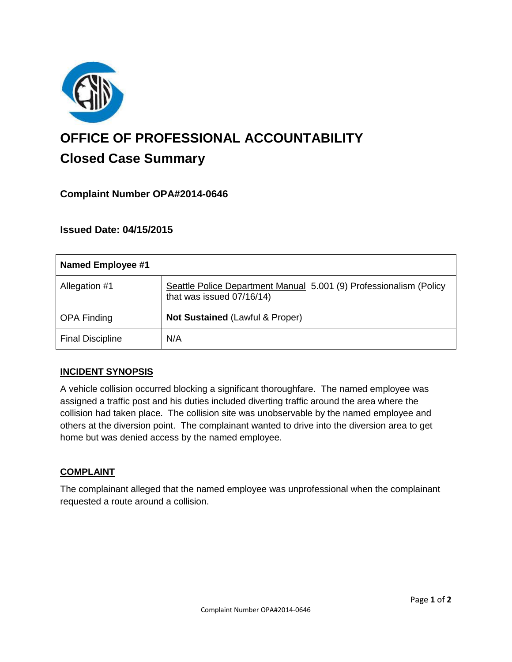

# **OFFICE OF PROFESSIONAL ACCOUNTABILITY Closed Case Summary**

## **Complaint Number OPA#2014-0646**

## **Issued Date: 04/15/2015**

| <b>Named Employee #1</b> |                                                                                                 |
|--------------------------|-------------------------------------------------------------------------------------------------|
| Allegation #1            | Seattle Police Department Manual 5.001 (9) Professionalism (Policy<br>that was issued 07/16/14) |
| <b>OPA Finding</b>       | Not Sustained (Lawful & Proper)                                                                 |
| <b>Final Discipline</b>  | N/A                                                                                             |

### **INCIDENT SYNOPSIS**

A vehicle collision occurred blocking a significant thoroughfare. The named employee was assigned a traffic post and his duties included diverting traffic around the area where the collision had taken place. The collision site was unobservable by the named employee and others at the diversion point. The complainant wanted to drive into the diversion area to get home but was denied access by the named employee.

### **COMPLAINT**

The complainant alleged that the named employee was unprofessional when the complainant requested a route around a collision.